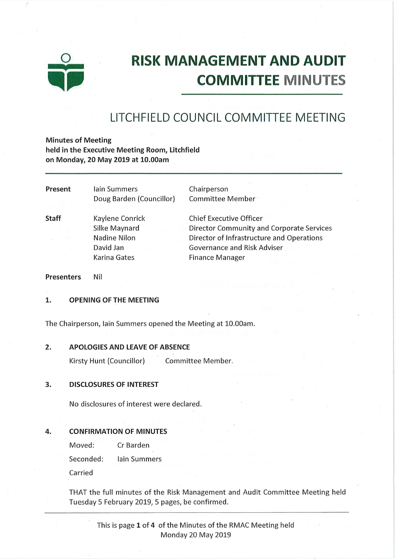

# RISK MANAGEMENT AND AUDIT COMMITTEE MINUTES

## LITCHFIELD COUNCIL COMMITTEE MEETING

Minutes of Meeting held in the Executive Meeting Room, Litchfield on Monday, 20 May 2019 at 10.00am

| Present      | lain Summers<br>Doug Barden (Councillor)                                             | Chairperson<br>Committee Member                                                                                                                                                   |
|--------------|--------------------------------------------------------------------------------------|-----------------------------------------------------------------------------------------------------------------------------------------------------------------------------------|
| <b>Staff</b> | Kaylene Conrick<br>Silke Maynard<br><b>Nadine Nilon</b><br>David Jan<br>Karina Gates | <b>Chief Executive Officer</b><br>Director Community and Corporate Services<br>Director of Infrastructure and Operations<br>Governance and Risk Adviser<br><b>Finance Manager</b> |

Presenters Nil

#### 1. OPENING OF THE MEETING

The Chairperson, lain Summers opened the Meeting at 10.00am.

#### 2. APOLOGIES AND LEAVE OF ABSENCE

Kirsty Hunt (Councillor) Committee Member.

#### 3. DISCLOSURES OF INTEREST

No disclosures of interest were declared.

#### 4. CONFIRMATION OF MINUTES

Moved: CrBarden Seconded: lain Summers Carried

THAT the full minutes of the Risk Management and Audit Committee Meeting held Tuesday 5 February 2019, 5 pages, be confirmed.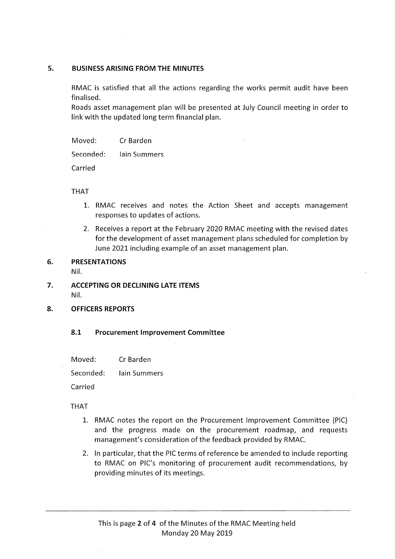#### 5. BUSINESS ARISING FROM THE MINUTES

RMAC is satisfied that all the actions regarding the works permit audit have been finalised.

Roads asset management plan will be presented at July Council meeting in order to link with the updated long term financial plan.

Moved: CrBarden Seconded: lain Summers

Carried

THAT

- 1. RMAC receives and notes the Action Sheet and accepts management responses to updates of actions.
- 2. Receives a report at the February 2020 RMAC meeting with the revised dates for the development of asset management plans scheduled for completion by June 2021 including example of an asset management plan.

### 6. PRESENTATIONS

Nil.

- 7. ACCEPTING OR DECLINING LATE ITEMS Nil.
- 8. OFFICERS REPORTS

#### 8.1 Procurement Improvement Committee

Moved: CrBarden

Seconded: lain Summers

Carried

#### THAT

- 1. RMAC notes the report on the Procurement Improvement Committee (PIC) and the progress made on the procurement roadmap, and requests managemen<sup>t</sup>'s consideration of the feedback provided by RMAC.
- 2. In particular, that the PIC terms of reference be amended to include reporting to RMAC on PIC's monitoring of procurement audit recommendations, by providing minutes of its meetings.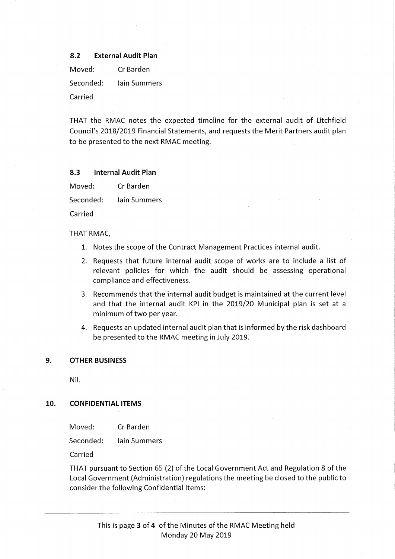#### 8.2 External Audit Plan

Moved: CrBarden Seconded: lain Summers Carried

THAT the RMAC notes the expected timeline for the external audit of Litchfield Council's 2018/2019 Financial Statements, and requests the Merit Partners audit plan to be presented to the next RMAC meeting.

#### 8.3 Internal Audit Plan

| Moved:    | Cr Barden    |
|-----------|--------------|
| Seconded: | Jain Summers |

Carried

THAT RMAC,

- 1. Notes the scope of the Contract Management Practices internal audit.
- 2. Requests that future internal audit scope of works are to include a list of relevant policies for which the audit should be assessing operational compliance and effectiveness.
- 3. Recommends that the internal audit budget is maintained at the current level and that the internal audit KPI in the 2019/20 Municipal plan is set at a minimum of two per year.
- 4. Requests an updated internal audit plan that is informed by the risk dashboard be presented to the RMAC meeting in July 2019.

#### 9. OTHER BUSINESS

Nil.

#### 10. CONFIDENTIAL ITEMS

| Moved: | Cr Barden |
|--------|-----------|
|--------|-----------|

Seconded: lain Summers

Carried

THAT pursuant to Section 65 (2) of the Local Government Act and Regulation 8 of the Local Government (Administration) regulations the meeting be closed to the public to consider the following Confidential Items: